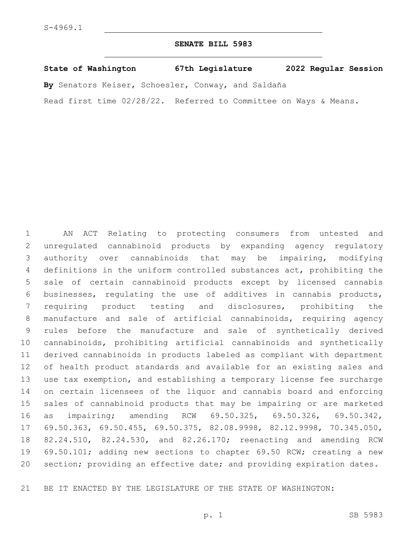## **SENATE BILL 5983**

**State of Washington 67th Legislature 2022 Regular Session**

**By** Senators Keiser, Schoesler, Conway, and Saldaña

Read first time 02/28/22. Referred to Committee on Ways & Means.

 AN ACT Relating to protecting consumers from untested and unregulated cannabinoid products by expanding agency regulatory authority over cannabinoids that may be impairing, modifying definitions in the uniform controlled substances act, prohibiting the sale of certain cannabinoid products except by licensed cannabis businesses, regulating the use of additives in cannabis products, requiring product testing and disclosures, prohibiting the manufacture and sale of artificial cannabinoids, requiring agency rules before the manufacture and sale of synthetically derived cannabinoids, prohibiting artificial cannabinoids and synthetically derived cannabinoids in products labeled as compliant with department of health product standards and available for an existing sales and use tax exemption, and establishing a temporary license fee surcharge on certain licensees of the liquor and cannabis board and enforcing sales of cannabinoid products that may be impairing or are marketed as impairing; amending RCW 69.50.325, 69.50.326, 69.50.342, 69.50.363, 69.50.455, 69.50.375, 82.08.9998, 82.12.9998, 70.345.050, 82.24.510, 82.24.530, and 82.26.170; reenacting and amending RCW 69.50.101; adding new sections to chapter 69.50 RCW; creating a new section; providing an effective date; and providing expiration dates.

BE IT ENACTED BY THE LEGISLATURE OF THE STATE OF WASHINGTON: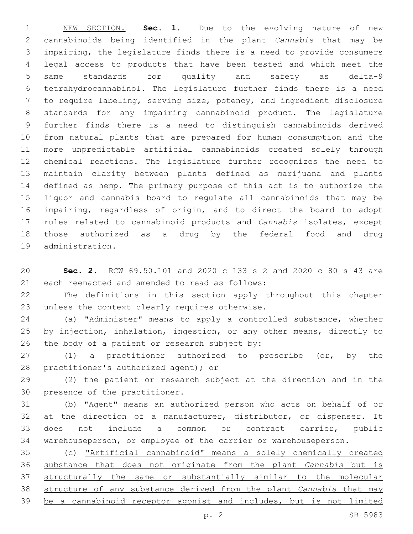NEW SECTION. **Sec. 1.** Due to the evolving nature of new cannabinoids being identified in the plant *Cannabis* that may be impairing, the legislature finds there is a need to provide consumers legal access to products that have been tested and which meet the same standards for quality and safety as delta-9 tetrahydrocannabinol. The legislature further finds there is a need to require labeling, serving size, potency, and ingredient disclosure standards for any impairing cannabinoid product. The legislature further finds there is a need to distinguish cannabinoids derived from natural plants that are prepared for human consumption and the more unpredictable artificial cannabinoids created solely through chemical reactions. The legislature further recognizes the need to maintain clarity between plants defined as marijuana and plants defined as hemp. The primary purpose of this act is to authorize the liquor and cannabis board to regulate all cannabinoids that may be impairing, regardless of origin, and to direct the board to adopt rules related to cannabinoid products and *Cannabis* isolates, except those authorized as a drug by the federal food and drug administration.

 **Sec. 2.** RCW 69.50.101 and 2020 c 133 s 2 and 2020 c 80 s 43 are 21 each reenacted and amended to read as follows:

 The definitions in this section apply throughout this chapter 23 unless the context clearly requires otherwise.

 (a) "Administer" means to apply a controlled substance, whether by injection, inhalation, ingestion, or any other means, directly to 26 the body of a patient or research subject by:

 (1) a practitioner authorized to prescribe (or, by the 28 practitioner's authorized agent); or

 (2) the patient or research subject at the direction and in the 30 presence of the practitioner.

 (b) "Agent" means an authorized person who acts on behalf of or at the direction of a manufacturer, distributor, or dispenser. It does not include a common or contract carrier, public warehouseperson, or employee of the carrier or warehouseperson.

 (c) "Artificial cannabinoid" means a solely chemically created substance that does not originate from the plant *Cannabis* but is structurally the same or substantially similar to the molecular structure of any substance derived from the plant *Cannabis* that may be a cannabinoid receptor agonist and includes, but is not limited

p. 2 SB 5983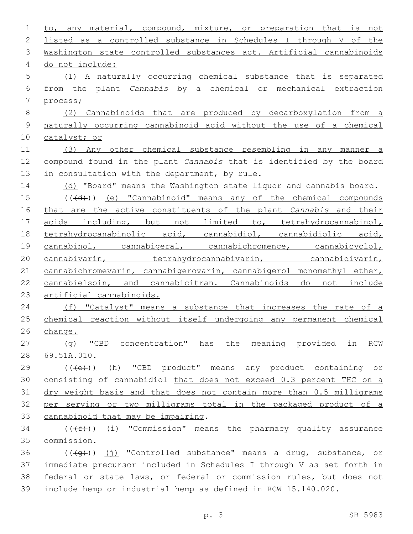1 to, any material, compound, mixture, or preparation that is not listed as a controlled substance in Schedules I through V of the Washington state controlled substances act. Artificial cannabinoids 4 do not include: (1) A naturally occurring chemical substance that is separated from the plant *Cannabis* by a chemical or mechanical extraction process; (2) Cannabinoids that are produced by decarboxylation from a naturally occurring cannabinoid acid without the use of a chemical catalyst; or (3) Any other chemical substance resembling in any manner a compound found in the plant *Cannabis* that is identified by the board 13 in consultation with the department, by rule. 14 (d) "Board" means the Washington state liquor and cannabis board. ( $(\overline{4d})$ ) (e) "Cannabinoid" means any of the chemical compounds that are the active constituents of the plant *Cannabis* and their 17 acids including, but not limited to, tetrahydrocannabinol, tetrahydrocanabinolic acid, cannabidiol, cannabidiolic acid, 19 cannabinol, cannabigeral, cannabichromence, cannabicyclol, 20 cannabivarin, tetrahydrocannabivarin, cannabidivarin, cannabichromevarin, cannabigerovarin, cannabigerol monomethyl ether, cannabielsoin, and cannabicitran. Cannabinoids do not include artificial cannabinoids. 24 (f) "Catalyst" means a substance that increases the rate of a chemical reaction without itself undergoing any permanent chemical change. (g) "CBD concentration" has the meaning provided in RCW 28 69.51A.010. 29 (((e)) (h) "CBD product" means any product containing or consisting of cannabidiol that does not exceed 0.3 percent THC on a dry weight basis and that does not contain more than 0.5 milligrams per serving or two milligrams total in the packaged product of a 33 cannabinoid that may be impairing. 34 ( $(\text{+f})$ ) <u>(i)</u> "Commission" means the pharmacy quality assurance commission.35  $((+q))$  (j) "Controlled substance" means a drug, substance, or immediate precursor included in Schedules I through V as set forth in federal or state laws, or federal or commission rules, but does not include hemp or industrial hemp as defined in RCW 15.140.020.

p. 3 SB 5983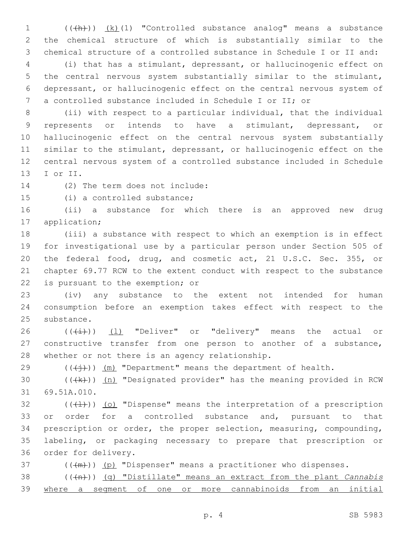1 (( $+h$ )) (k)(1) "Controlled substance analog" means a substance the chemical structure of which is substantially similar to the chemical structure of a controlled substance in Schedule I or II and:

 (i) that has a stimulant, depressant, or hallucinogenic effect on the central nervous system substantially similar to the stimulant, depressant, or hallucinogenic effect on the central nervous system of a controlled substance included in Schedule I or II; or

 (ii) with respect to a particular individual, that the individual represents or intends to have a stimulant, depressant, or hallucinogenic effect on the central nervous system substantially similar to the stimulant, depressant, or hallucinogenic effect on the central nervous system of a controlled substance included in Schedule 13 I or II.

14 (2) The term does not include:

15 (i) a controlled substance;

 (ii) a substance for which there is an approved new drug 17 application;

 (iii) a substance with respect to which an exemption is in effect for investigational use by a particular person under Section 505 of the federal food, drug, and cosmetic act, 21 U.S.C. Sec. 355, or chapter 69.77 RCW to the extent conduct with respect to the substance 22 is pursuant to the exemption; or

 (iv) any substance to the extent not intended for human consumption before an exemption takes effect with respect to the 25 substance.

26 ( $(\frac{1}{1})$ ) (1) "Deliver" or "delivery" means the actual or constructive transfer from one person to another of a substance, 28 whether or not there is an agency relationship.

29  $((\n{(+)}))$  (m) "Department" means the department of health.

30  $((+k))$   $(n)$  "Designated provider" has the meaning provided in RCW 31 69.51A.010.

 (( $\left(\frac{1}{1}\right)$ ) (o) "Dispense" means the interpretation of a prescription 33 or order for a controlled substance and, pursuant to that prescription or order, the proper selection, measuring, compounding, labeling, or packaging necessary to prepare that prescription or 36 order for delivery.

( $(\frac{+m}{2})$ ) (p) "Dispenser" means a practitioner who dispenses.

 (((n))) (q) "Distillate" means an extract from the plant *Cannabis*  where a segment of one or more cannabinoids from an initial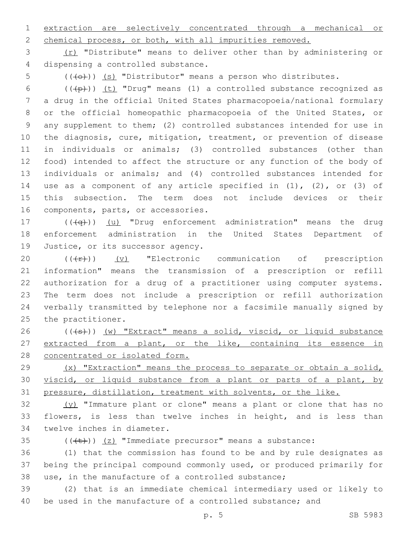1 extraction are selectively concentrated through a mechanical or 2 chemical process, or both, with all impurities removed.

3 (r) "Distribute" means to deliver other than by administering or 4 dispensing a controlled substance.

 $5$  (( $\left(\overline{+}e\right)$ ) (s) "Distributor" means a person who distributes.

 $((+p))$  (t) "Drug" means (1) a controlled substance recognized as a drug in the official United States pharmacopoeia/national formulary or the official homeopathic pharmacopoeia of the United States, or any supplement to them; (2) controlled substances intended for use in the diagnosis, cure, mitigation, treatment, or prevention of disease in individuals or animals; (3) controlled substances (other than food) intended to affect the structure or any function of the body of individuals or animals; and (4) controlled substances intended for 14 use as a component of any article specified in  $(1)$ ,  $(2)$ , or  $(3)$  of this subsection. The term does not include devices or their 16 components, parts, or accessories.

17 (((+q)) (u) "Drug enforcement administration" means the drug 18 enforcement administration in the United States Department of 19 Justice, or its successor agency.

 $((+**r**))$  (v) "Electronic communication of prescription information" means the transmission of a prescription or refill authorization for a drug of a practitioner using computer systems. The term does not include a prescription or refill authorization verbally transmitted by telephone nor a facsimile manually signed by 25 the practitioner.

26 ((+s)) (w) "Extract" means a solid, viscid, or liquid substance 27 extracted from a plant, or the like, containing its essence in 28 concentrated or isolated form.

29 (x) "Extraction" means the process to separate or obtain a solid, 30 viscid, or liquid substance from a plant or parts of a plant, by 31 pressure, distillation, treatment with solvents, or the like.

 $\frac{y}{y}$  "Immature plant or clone" means a plant or clone that has no 33 flowers, is less than twelve inches in height, and is less than 34 twelve inches in diameter.

35  $((\text{(+t)}))$   $(z)$  "Immediate precursor" means a substance:

36 (1) that the commission has found to be and by rule designates as 37 being the principal compound commonly used, or produced primarily for 38 use, in the manufacture of a controlled substance;

39 (2) that is an immediate chemical intermediary used or likely to 40 be used in the manufacture of a controlled substance; and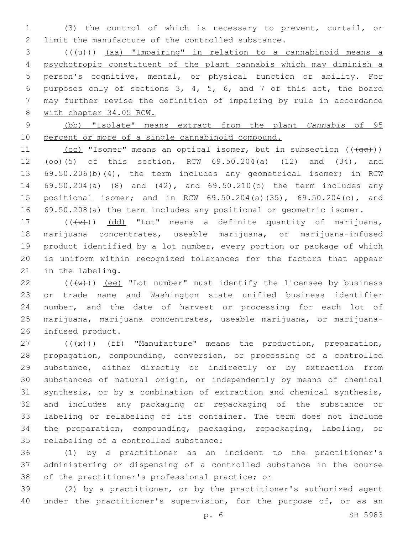(3) the control of which is necessary to prevent, curtail, or 2 limit the manufacture of the controlled substance.

 ( $(\{+u\})$ ) (aa) "Impairing" in relation to a cannabinoid means a psychotropic constituent of the plant cannabis which may diminish a person's cognitive, mental, or physical function or ability. For purposes only of sections 3, 4, 5, 6, and 7 of this act, the board may further revise the definition of impairing by rule in accordance with chapter 34.05 RCW.

 (bb) "Isolate" means extract from the plant *Cannabis* of 95 percent or more of a single cannabinoid compound.

11 (cc) "Isomer" means an optical isomer, but in subsection  $((\sqrt{q}q))$  (oo)(5) of this section, RCW 69.50.204(a) (12) and (34), and 69.50.206(b)(4), the term includes any geometrical isomer; in RCW 69.50.204(a) (8) and (42), and 69.50.210(c) the term includes any positional isomer; and in RCW 69.50.204(a)(35), 69.50.204(c), and 69.50.208(a) the term includes any positional or geometric isomer.

 $((\{v\})$   $(dd)$  "Lot" means a definite quantity of marijuana, marijuana concentrates, useable marijuana, or marijuana-infused product identified by a lot number, every portion or package of which is uniform within recognized tolerances for the factors that appear 21 in the labeling.

 $((\lbrace w \rbrace))$  (ee) "Lot number" must identify the licensee by business or trade name and Washington state unified business identifier number, and the date of harvest or processing for each lot of marijuana, marijuana concentrates, useable marijuana, or marijuana-26 infused product.

 $((+x))$  (ff) "Manufacture" means the production, preparation, propagation, compounding, conversion, or processing of a controlled substance, either directly or indirectly or by extraction from substances of natural origin, or independently by means of chemical synthesis, or by a combination of extraction and chemical synthesis, and includes any packaging or repackaging of the substance or labeling or relabeling of its container. The term does not include the preparation, compounding, packaging, repackaging, labeling, or 35 relabeling of a controlled substance:

 (1) by a practitioner as an incident to the practitioner's administering or dispensing of a controlled substance in the course 38 of the practitioner's professional practice; or

 (2) by a practitioner, or by the practitioner's authorized agent 40 under the practitioner's supervision, for the purpose of, or as an

p. 6 SB 5983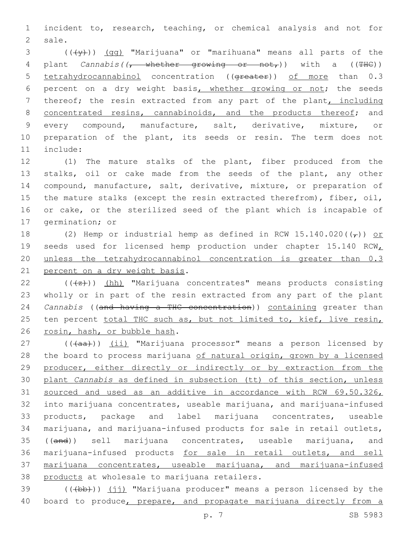1 incident to, research, teaching, or chemical analysis and not for 2 sale.

 $3$  ( $(\overline{\mathsf{y}})$ ) (gg) "Marijuana" or "marihuana" means all parts of the 4 plant *Cannabis((*, whether growing or not,)) with a ((THC)) 5 tetrahydrocannabinol concentration ((greater)) of more than 0.3 6 percent on a dry weight basis, whether growing or not; the seeds 7 thereof; the resin extracted from any part of the plant, including 8 concentrated resins, cannabinoids, and the products thereof; and 9 every compound, manufacture, salt, derivative, mixture, or 10 preparation of the plant, its seeds or resin. The term does not 11 include:

 (1) The mature stalks of the plant, fiber produced from the stalks, oil or cake made from the seeds of the plant, any other compound, manufacture, salt, derivative, mixture, or preparation of the mature stalks (except the resin extracted therefrom), fiber, oil, or cake, or the sterilized seed of the plant which is incapable of 17 germination; or

18 (2) Hemp or industrial hemp as defined in RCW  $15.140.020$  ( $\left(\frac{\ }{}{}\right)$ ) or 19 seeds used for licensed hemp production under chapter 15.140 RCW 20 unless the tetrahydrocannabinol concentration is greater than 0.3 21 percent on a dry weight basis.

 $22$  ( $(\frac{1}{2})$ ) (hh) "Marijuana concentrates" means products consisting 23 wholly or in part of the resin extracted from any part of the plant 24 *Cannabis* ((and having a THC concentration)) containing greater than 25 ten percent total THC such as, but not limited to, kief, live resin, 26 rosin, hash, or bubble hash.

27 (((aa))) (ii) "Marijuana processor" means a person licensed by 28 the board to process marijuana of natural origin, grown by a licensed producer, either directly or indirectly or by extraction from the plant *Cannabis* as defined in subsection (tt) of this section, unless sourced and used as an additive in accordance with RCW 69.50.326, into marijuana concentrates, useable marijuana, and marijuana-infused products, package and label marijuana concentrates, useable marijuana, and marijuana-infused products for sale in retail outlets, 35 ((and)) sell marijuana concentrates, useable marijuana, and marijuana-infused products for sale in retail outlets, and sell marijuana concentrates, useable marijuana, and marijuana-infused 38 products at wholesale to marijuana retailers.

39  $((+bb))$   $(jj)$  "Marijuana producer" means a person licensed by the 40 board to produce, prepare, and propagate marijuana directly from a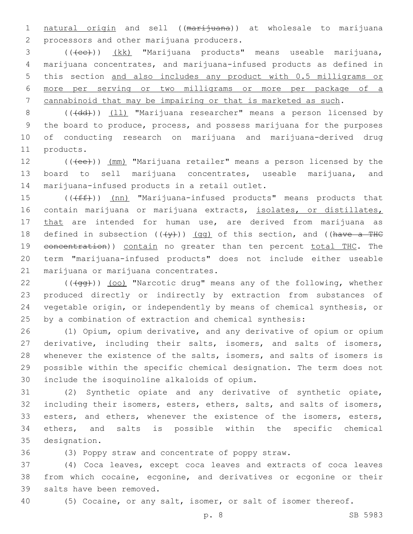1 natural origin and sell ((marijuana)) at wholesale to marijuana 2 processors and other marijuana producers.

3 (((ee)) (kk) "Marijuana products" means useable marijuana, marijuana concentrates, and marijuana-infused products as defined in this section and also includes any product with 0.5 milligrams or more per serving or two milligrams or more per package of a cannabinoid that may be impairing or that is marketed as such.

8 (((dd))) (11) "Marijuana researcher" means a person licensed by 9 the board to produce, process, and possess marijuana for the purposes 10 of conducting research on marijuana and marijuana-derived drug 11 products.

12 (((ee))) (mm) "Marijuana retailer" means a person licensed by the 13 board to sell marijuana concentrates, useable marijuana, and 14 marijuana-infused products in a retail outlet.

15 (((ff)) (nn) "Marijuana-infused products" means products that 16 contain marijuana or marijuana extracts, isolates, or distillates, 17 that are intended for human use, are derived from marijuana as 18 defined in subsection  $((+\gamma)^2)$  (gg) of this section, and ((have a THC 19 eoncentration)) contain no greater than ten percent total THC. The 20 term "marijuana-infused products" does not include either useable 21 marijuana or marijuana concentrates.

22 (((4gg))) (oo) "Narcotic drug" means any of the following, whether produced directly or indirectly by extraction from substances of vegetable origin, or independently by means of chemical synthesis, or by a combination of extraction and chemical synthesis:

 (1) Opium, opium derivative, and any derivative of opium or opium derivative, including their salts, isomers, and salts of isomers, whenever the existence of the salts, isomers, and salts of isomers is possible within the specific chemical designation. The term does not include the isoquinoline alkaloids of opium.30

31 (2) Synthetic opiate and any derivative of synthetic opiate, 32 including their isomers, esters, ethers, salts, and salts of isomers, 33 esters, and ethers, whenever the existence of the isomers, esters, 34 ethers, and salts is possible within the specific chemical 35 designation.

36 (3) Poppy straw and concentrate of poppy straw.

37 (4) Coca leaves, except coca leaves and extracts of coca leaves 38 from which cocaine, ecgonine, and derivatives or ecgonine or their 39 salts have been removed.

40 (5) Cocaine, or any salt, isomer, or salt of isomer thereof.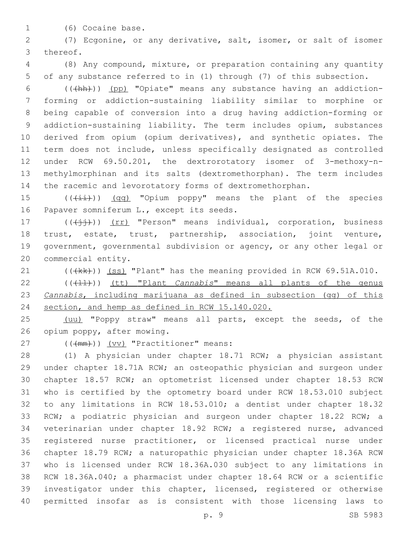1 (6) Cocaine base.

 (7) Ecgonine, or any derivative, salt, isomer, or salt of isomer 3 thereof.

 (8) Any compound, mixture, or preparation containing any quantity of any substance referred to in (1) through (7) of this subsection.

 (((hh))) (pp) "Opiate" means any substance having an addiction- forming or addiction-sustaining liability similar to morphine or being capable of conversion into a drug having addiction-forming or addiction-sustaining liability. The term includes opium, substances derived from opium (opium derivatives), and synthetic opiates. The term does not include, unless specifically designated as controlled under RCW 69.50.201, the dextrorotatory isomer of 3-methoxy-n- methylmorphinan and its salts (dextromethorphan). The term includes the racemic and levorotatory forms of dextromethorphan.

15  $((\overrightarrow{+i}))(qq)$  "Opium poppy" means the plant of the species 16 Papaver somniferum L., except its seeds.

 $((\n\dagger)^{\dagger})$  (rr) "Person" means individual, corporation, business trust, estate, trust, partnership, association, joint venture, government, governmental subdivision or agency, or any other legal or 20 commercial entity.

21 (((kk))) (ss) "Plant" has the meaning provided in RCW 69.51A.010.

22 (((+1+))) (tt) "Plant *Cannabis*" means all plants of the genus *Cannabis*, including marijuana as defined in subsection (gg) of this section, and hemp as defined in RCW 15.140.020.

25 (uu) "Poppy straw" means all parts, except the seeds, of the 26 opium poppy, after mowing.

27 (( $(\text{mm})$ )) (vv) "Practitioner" means:

 (1) A physician under chapter 18.71 RCW; a physician assistant under chapter 18.71A RCW; an osteopathic physician and surgeon under chapter 18.57 RCW; an optometrist licensed under chapter 18.53 RCW who is certified by the optometry board under RCW 18.53.010 subject to any limitations in RCW 18.53.010; a dentist under chapter 18.32 33 RCW; a podiatric physician and surgeon under chapter 18.22 RCW; a veterinarian under chapter 18.92 RCW; a registered nurse, advanced registered nurse practitioner, or licensed practical nurse under chapter 18.79 RCW; a naturopathic physician under chapter 18.36A RCW who is licensed under RCW 18.36A.030 subject to any limitations in RCW 18.36A.040; a pharmacist under chapter 18.64 RCW or a scientific investigator under this chapter, licensed, registered or otherwise permitted insofar as is consistent with those licensing laws to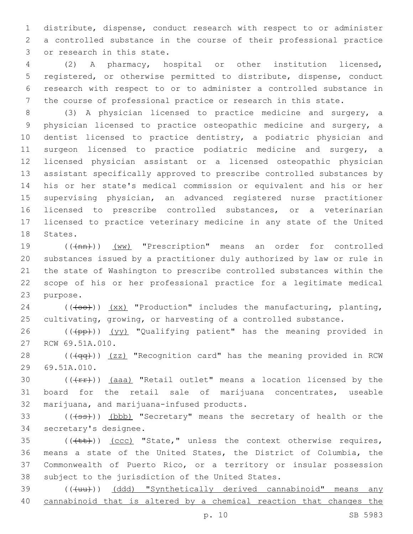distribute, dispense, conduct research with respect to or administer a controlled substance in the course of their professional practice 3 or research in this state.

 (2) A pharmacy, hospital or other institution licensed, registered, or otherwise permitted to distribute, dispense, conduct research with respect to or to administer a controlled substance in the course of professional practice or research in this state.

 (3) A physician licensed to practice medicine and surgery, a physician licensed to practice osteopathic medicine and surgery, a dentist licensed to practice dentistry, a podiatric physician and surgeon licensed to practice podiatric medicine and surgery, a licensed physician assistant or a licensed osteopathic physician assistant specifically approved to prescribe controlled substances by his or her state's medical commission or equivalent and his or her supervising physician, an advanced registered nurse practitioner licensed to prescribe controlled substances, or a veterinarian licensed to practice veterinary medicine in any state of the United 18 States.

19 (( $(mn)$ ) (ww) "Prescription" means an order for controlled substances issued by a practitioner duly authorized by law or rule in the state of Washington to prescribe controlled substances within the scope of his or her professional practice for a legitimate medical 23 purpose.

 (( $\left(\leftrightarrow\right)$ )  $\left(\times\right)$  "Production" includes the manufacturing, planting, cultivating, growing, or harvesting of a controlled substance.

26 (((pp))) (yy) "Qualifying patient" has the meaning provided in 27 RCW 69.51A.010.

28 (((4qq))) (zz) "Recognition card" has the meaning provided in RCW 29 69.51A.010.

30  $((\text{frr}))(a^{2}a^{2} + b^{2}a^{2})$  "Retail outlet" means a location licensed by the board for the retail sale of marijuana concentrates, useable 32 marijuana, and marijuana-infused products.

33 (((+ss))) (bbb) "Secretary" means the secretary of health or the 34 secretary's designee.

 (( $\text{(+t+)}$ )) (ccc) "State," unless the context otherwise requires, means a state of the United States, the District of Columbia, the Commonwealth of Puerto Rico, or a territory or insular possession 38 subject to the jurisdiction of the United States.

39 (((uu))) (ddd) "Synthetically derived cannabinoid" means any cannabinoid that is altered by a chemical reaction that changes the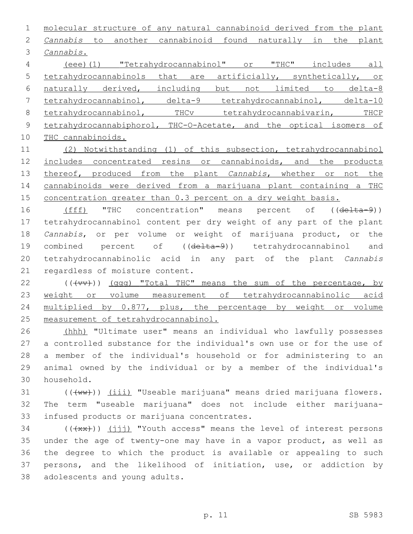molecular structure of any natural cannabinoid derived from the plant *Cannabis* to another cannabinoid found naturally in the plant *Cannabis*.3 (eee)(1) "Tetrahydrocannabinol" or "THC" includes all tetrahydrocannabinols that are artificially, synthetically, or

 naturally derived, including but not limited to delta-8 tetrahydrocannabinol, delta-9 tetrahydrocannabinol, delta-10 8 tetrahydrocannabinol, THCv tetrahydrocannabivarin, THCP 9 tetrahydrocannabiphorol, THC-O-Acetate, and the optical isomers of

THC cannabinoids.

 (2) Notwithstanding (1) of this subsection, tetrahydrocannabinol 12 includes concentrated resins or cannabinoids, and the products thereof, produced from the plant *Cannabis*, whether or not the cannabinoids were derived from a marijuana plant containing a THC 15 concentration greater than 0.3 percent on a dry weight basis.

16 (fff) "THC concentration" means percent of ((delta-9)) tetrahydrocannabinol content per dry weight of any part of the plant *Cannabis*, or per volume or weight of marijuana product, or the 19 combined percent of ((delta-9)) tetrahydrocannabinol and tetrahydrocannabinolic acid in any part of the plant *Cannabis*  21 regardless of moisture content.

 $((\text{+vv}))(qqq)$  "Total THC" means the sum of the percentage, by weight or volume measurement of tetrahydrocannabinolic acid multiplied by 0.877, plus, the percentage by weight or volume measurement of tetrahydrocannabinol.

 (hhh) "Ultimate user" means an individual who lawfully possesses a controlled substance for the individual's own use or for the use of a member of the individual's household or for administering to an animal owned by the individual or by a member of the individual's household.30

31 (((ww))) (iii) "Useable marijuana" means dried marijuana flowers. The term "useable marijuana" does not include either marijuana-33 infused products or marijuana concentrates.

 (( $\overline{+x^2}$ )) ( $\overline{111}$ ) "Youth access" means the level of interest persons under the age of twenty-one may have in a vapor product, as well as the degree to which the product is available or appealing to such persons, and the likelihood of initiation, use, or addiction by 38 adolescents and young adults.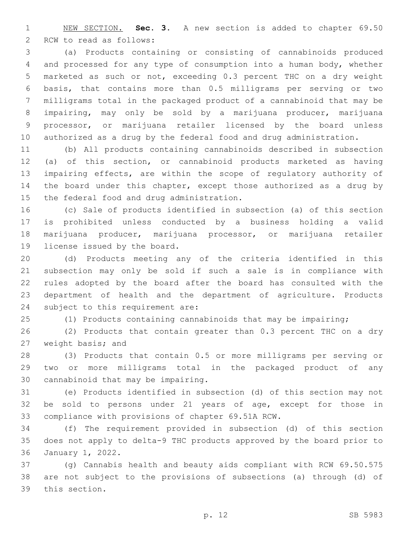NEW SECTION. **Sec. 3.** A new section is added to chapter 69.50 2 RCW to read as follows:

 (a) Products containing or consisting of cannabinoids produced and processed for any type of consumption into a human body, whether marketed as such or not, exceeding 0.3 percent THC on a dry weight basis, that contains more than 0.5 milligrams per serving or two milligrams total in the packaged product of a cannabinoid that may be impairing, may only be sold by a marijuana producer, marijuana processor, or marijuana retailer licensed by the board unless authorized as a drug by the federal food and drug administration.

 (b) All products containing cannabinoids described in subsection (a) of this section, or cannabinoid products marketed as having impairing effects, are within the scope of regulatory authority of 14 the board under this chapter, except those authorized as a drug by 15 the federal food and drug administration.

 (c) Sale of products identified in subsection (a) of this section is prohibited unless conducted by a business holding a valid marijuana producer, marijuana processor, or marijuana retailer 19 license issued by the board.

 (d) Products meeting any of the criteria identified in this subsection may only be sold if such a sale is in compliance with rules adopted by the board after the board has consulted with the department of health and the department of agriculture. Products 24 subject to this requirement are:

(1) Products containing cannabinoids that may be impairing;

 (2) Products that contain greater than 0.3 percent THC on a dry 27 weight basis; and

 (3) Products that contain 0.5 or more milligrams per serving or two or more milligrams total in the packaged product of any 30 cannabinoid that may be impairing.

 (e) Products identified in subsection (d) of this section may not be sold to persons under 21 years of age, except for those in 33 compliance with provisions of chapter 69.51A RCW.

 (f) The requirement provided in subsection (d) of this section does not apply to delta-9 THC products approved by the board prior to 36 January 1, 2022.

 (g) Cannabis health and beauty aids compliant with RCW 69.50.575 are not subject to the provisions of subsections (a) through (d) of 39 this section.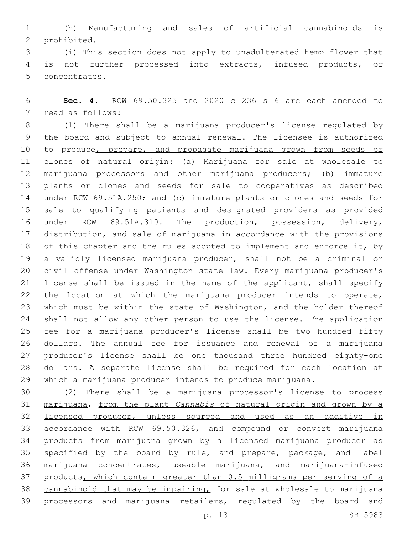(h) Manufacturing and sales of artificial cannabinoids is 2 prohibited.

 (i) This section does not apply to unadulterated hemp flower that is not further processed into extracts, infused products, or 5 concentrates.

 **Sec. 4.** RCW 69.50.325 and 2020 c 236 s 6 are each amended to 7 read as follows:

 (1) There shall be a marijuana producer's license regulated by the board and subject to annual renewal. The licensee is authorized 10 to produce, prepare, and propagate marijuana grown from seeds or clones of natural origin: (a) Marijuana for sale at wholesale to marijuana processors and other marijuana producers; (b) immature plants or clones and seeds for sale to cooperatives as described under RCW 69.51A.250; and (c) immature plants or clones and seeds for sale to qualifying patients and designated providers as provided under RCW 69.51A.310. The production, possession, delivery, distribution, and sale of marijuana in accordance with the provisions 18 of this chapter and the rules adopted to implement and enforce it, by a validly licensed marijuana producer, shall not be a criminal or civil offense under Washington state law. Every marijuana producer's license shall be issued in the name of the applicant, shall specify the location at which the marijuana producer intends to operate, which must be within the state of Washington, and the holder thereof shall not allow any other person to use the license. The application fee for a marijuana producer's license shall be two hundred fifty dollars. The annual fee for issuance and renewal of a marijuana producer's license shall be one thousand three hundred eighty-one dollars. A separate license shall be required for each location at which a marijuana producer intends to produce marijuana.

 (2) There shall be a marijuana processor's license to process marijuana, from the plant *Cannabis* of natural origin and grown by a 32 licensed producer, unless sourced and used as an additive in accordance with RCW 69.50.326, and compound or convert marijuana products from marijuana grown by a licensed marijuana producer as 35 specified by the board by rule, and prepare, package, and label marijuana concentrates, useable marijuana, and marijuana-infused products, which contain greater than 0.5 milligrams per serving of a 38 cannabinoid that may be impairing, for sale at wholesale to marijuana processors and marijuana retailers, regulated by the board and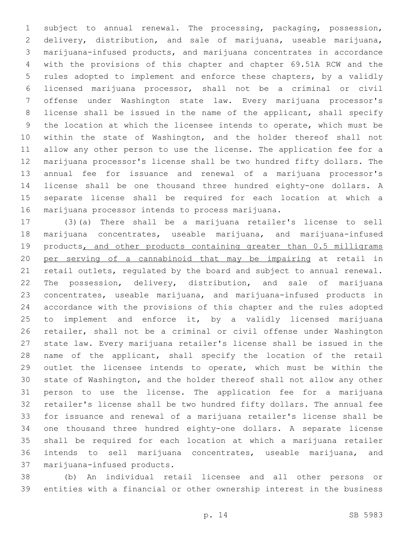subject to annual renewal. The processing, packaging, possession, delivery, distribution, and sale of marijuana, useable marijuana, marijuana-infused products, and marijuana concentrates in accordance with the provisions of this chapter and chapter 69.51A RCW and the rules adopted to implement and enforce these chapters, by a validly licensed marijuana processor, shall not be a criminal or civil offense under Washington state law. Every marijuana processor's license shall be issued in the name of the applicant, shall specify the location at which the licensee intends to operate, which must be within the state of Washington, and the holder thereof shall not allow any other person to use the license. The application fee for a marijuana processor's license shall be two hundred fifty dollars. The annual fee for issuance and renewal of a marijuana processor's license shall be one thousand three hundred eighty-one dollars. A separate license shall be required for each location at which a 16 marijuana processor intends to process marijuana.

 (3)(a) There shall be a marijuana retailer's license to sell marijuana concentrates, useable marijuana, and marijuana-infused 19 products, and other products containing greater than 0.5 milligrams per serving of a cannabinoid that may be impairing at retail in retail outlets, regulated by the board and subject to annual renewal. The possession, delivery, distribution, and sale of marijuana concentrates, useable marijuana, and marijuana-infused products in accordance with the provisions of this chapter and the rules adopted 25 to implement and enforce it, by a validly licensed marijuana retailer, shall not be a criminal or civil offense under Washington state law. Every marijuana retailer's license shall be issued in the name of the applicant, shall specify the location of the retail outlet the licensee intends to operate, which must be within the state of Washington, and the holder thereof shall not allow any other person to use the license. The application fee for a marijuana retailer's license shall be two hundred fifty dollars. The annual fee for issuance and renewal of a marijuana retailer's license shall be one thousand three hundred eighty-one dollars. A separate license shall be required for each location at which a marijuana retailer intends to sell marijuana concentrates, useable marijuana, and 37 marijuana-infused products.

 (b) An individual retail licensee and all other persons or entities with a financial or other ownership interest in the business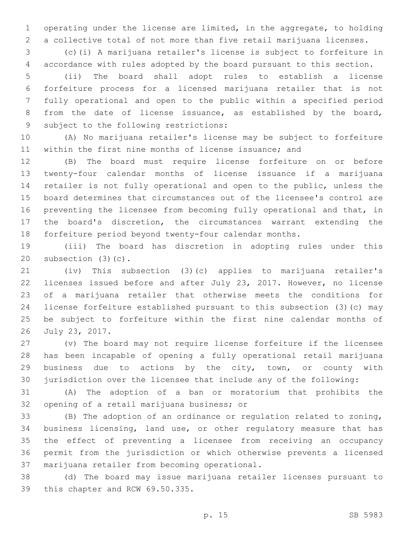operating under the license are limited, in the aggregate, to holding a collective total of not more than five retail marijuana licenses.

 (c)(i) A marijuana retailer's license is subject to forfeiture in accordance with rules adopted by the board pursuant to this section.

 (ii) The board shall adopt rules to establish a license forfeiture process for a licensed marijuana retailer that is not fully operational and open to the public within a specified period from the date of license issuance, as established by the board, 9 subject to the following restrictions:

 (A) No marijuana retailer's license may be subject to forfeiture within the first nine months of license issuance; and

 (B) The board must require license forfeiture on or before twenty-four calendar months of license issuance if a marijuana retailer is not fully operational and open to the public, unless the board determines that circumstances out of the licensee's control are preventing the licensee from becoming fully operational and that, in the board's discretion, the circumstances warrant extending the forfeiture period beyond twenty-four calendar months.

 (iii) The board has discretion in adopting rules under this 20 subsection  $(3)(c)$ .

 (iv) This subsection (3)(c) applies to marijuana retailer's licenses issued before and after July 23, 2017. However, no license of a marijuana retailer that otherwise meets the conditions for license forfeiture established pursuant to this subsection (3)(c) may be subject to forfeiture within the first nine calendar months of 26 July 23, 2017.

 (v) The board may not require license forfeiture if the licensee has been incapable of opening a fully operational retail marijuana business due to actions by the city, town, or county with jurisdiction over the licensee that include any of the following:

 (A) The adoption of a ban or moratorium that prohibits the 32 opening of a retail marijuana business; or

 (B) The adoption of an ordinance or regulation related to zoning, business licensing, land use, or other regulatory measure that has the effect of preventing a licensee from receiving an occupancy permit from the jurisdiction or which otherwise prevents a licensed 37 marijuana retailer from becoming operational.

 (d) The board may issue marijuana retailer licenses pursuant to 39 this chapter and RCW 69.50.335.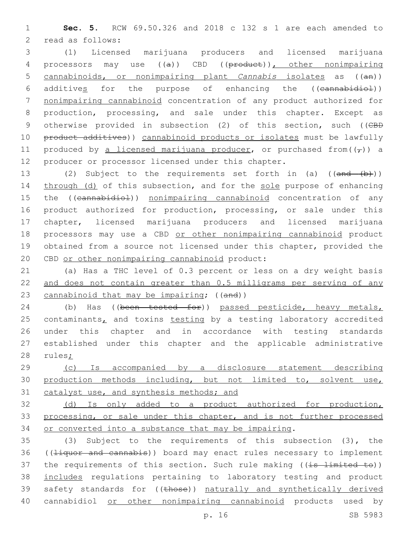1 **Sec. 5.** RCW 69.50.326 and 2018 c 132 s 1 are each amended to 2 read as follows:

3 (1) Licensed marijuana producers and licensed marijuana 4 processors may use ((a)) CBD ((product)), other nonimpairing 5 cannabinoids, or nonimpairing plant *Cannabis* isolates as ((an)) 6 additives for the purpose of enhancing the ((cannabidiol)) 7 nonimpairing cannabinoid concentration of any product authorized for 8 production, processing, and sale under this chapter. Except as 9 otherwise provided in subsection (2) of this section, such ((CBD 10 product additives)) cannabinoid products or isolates must be lawfully 11 produced by a licensed marijuana producer, or purchased from( $(\tau)$ ) a 12 producer or processor licensed under this chapter.

13 (2) Subject to the requirements set forth in (a) ((and (b))) 14 through (d) of this subsection, and for the sole purpose of enhancing 15 the ((cannabidiol)) nonimpairing cannabinoid concentration of any 16 product authorized for production, processing, or sale under this 17 chapter, licensed marijuana producers and licensed marijuana 18 processors may use a CBD or other nonimpairing cannabinoid product 19 obtained from a source not licensed under this chapter, provided the 20 CBD or other nonimpairing cannabinoid product:

21 (a) Has a THC level of 0.3 percent or less on a dry weight basis 22 and does not contain greater than 0.5 milligrams per serving of any 23 cannabinoid that may be impairing; ((and))

24 (b) Has ((been tested for)) passed pesticide, heavy metals, 25 contaminants, and toxins testing by a testing laboratory accredited 26 under this chapter and in accordance with testing standards 27 established under this chapter and the applicable administrative 28 rules;

29 (c) Is accompanied by a disclosure statement describing 30 production methods including, but not limited to, solvent use, 31 catalyst use, and synthesis methods; and

32 (d) Is only added to a product authorized for production, 33 processing, or sale under this chapter, and is not further processed 34 or converted into a substance that may be impairing.

35 (3) Subject to the requirements of this subsection (3), the 36 ((Hiquor and cannabis)) board may enact rules necessary to implement 37 the requirements of this section. Such rule making ((is limited to)) 38 includes regulations pertaining to laboratory testing and product 39 safety standards for ((those)) naturally and synthetically derived 40 cannabidiol or other nonimpairing cannabinoid products used by

p. 16 SB 5983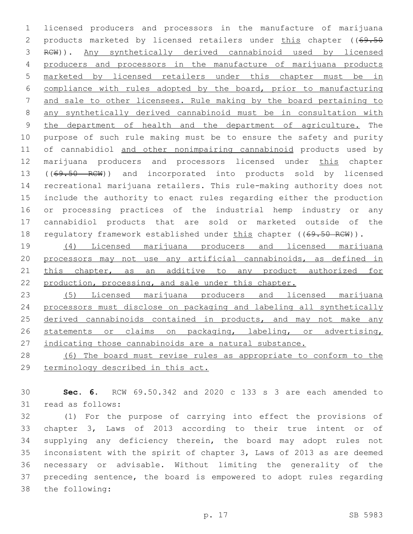licensed producers and processors in the manufacture of marijuana 2 products marketed by licensed retailers under this chapter ((69.50 RCW)). Any synthetically derived cannabinoid used by licensed producers and processors in the manufacture of marijuana products marketed by licensed retailers under this chapter must be in compliance with rules adopted by the board, prior to manufacturing and sale to other licensees. Rule making by the board pertaining to any synthetically derived cannabinoid must be in consultation with the department of health and the department of agriculture. The purpose of such rule making must be to ensure the safety and purity 11 of cannabidiol and other nonimpairing cannabinoid products used by marijuana producers and processors licensed under this chapter 13 ((69.50 RCW)) and incorporated into products sold by licensed recreational marijuana retailers. This rule-making authority does not include the authority to enact rules regarding either the production or processing practices of the industrial hemp industry or any cannabidiol products that are sold or marketed outside of the 18 regulatory framework established under this chapter ((69.50 RCW)).

 (4) Licensed marijuana producers and licensed marijuana processors may not use any artificial cannabinoids, as defined in 21 this chapter, as an additive to any product authorized for production, processing, and sale under this chapter.

 (5) Licensed marijuana producers and licensed marijuana processors must disclose on packaging and labeling all synthetically 25 derived cannabinoids contained in products, and may not make any statements or claims on packaging, labeling, or advertising, indicating those cannabinoids are a natural substance.

 (6) The board must revise rules as appropriate to conform to the terminology described in this act.

 **Sec. 6.** RCW 69.50.342 and 2020 c 133 s 3 are each amended to 31 read as follows:

 (1) For the purpose of carrying into effect the provisions of chapter 3, Laws of 2013 according to their true intent or of supplying any deficiency therein, the board may adopt rules not inconsistent with the spirit of chapter 3, Laws of 2013 as are deemed necessary or advisable. Without limiting the generality of the preceding sentence, the board is empowered to adopt rules regarding 38 the following: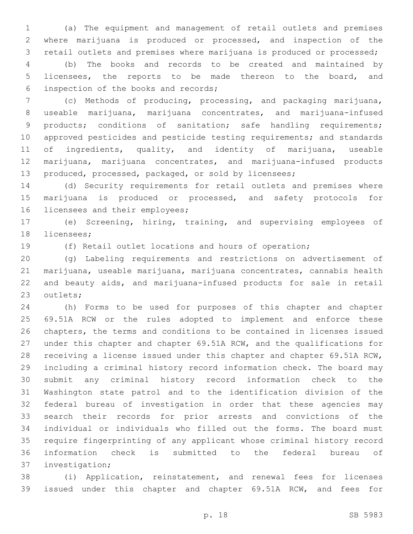(a) The equipment and management of retail outlets and premises where marijuana is produced or processed, and inspection of the retail outlets and premises where marijuana is produced or processed;

 (b) The books and records to be created and maintained by licensees, the reports to be made thereon to the board, and inspection of the books and records;6

 (c) Methods of producing, processing, and packaging marijuana, useable marijuana, marijuana concentrates, and marijuana-infused products; conditions of sanitation; safe handling requirements; approved pesticides and pesticide testing requirements; and standards of ingredients, quality, and identity of marijuana, useable marijuana, marijuana concentrates, and marijuana-infused products produced, processed, packaged, or sold by licensees;

 (d) Security requirements for retail outlets and premises where marijuana is produced or processed, and safety protocols for 16 licensees and their employees;

 (e) Screening, hiring, training, and supervising employees of 18 licensees;

(f) Retail outlet locations and hours of operation;

 (g) Labeling requirements and restrictions on advertisement of marijuana, useable marijuana, marijuana concentrates, cannabis health and beauty aids, and marijuana-infused products for sale in retail 23 outlets;

 (h) Forms to be used for purposes of this chapter and chapter 69.51A RCW or the rules adopted to implement and enforce these chapters, the terms and conditions to be contained in licenses issued under this chapter and chapter 69.51A RCW, and the qualifications for receiving a license issued under this chapter and chapter 69.51A RCW, including a criminal history record information check. The board may submit any criminal history record information check to the Washington state patrol and to the identification division of the federal bureau of investigation in order that these agencies may search their records for prior arrests and convictions of the individual or individuals who filled out the forms. The board must require fingerprinting of any applicant whose criminal history record information check is submitted to the federal bureau of 37 investigation;

 (i) Application, reinstatement, and renewal fees for licenses issued under this chapter and chapter 69.51A RCW, and fees for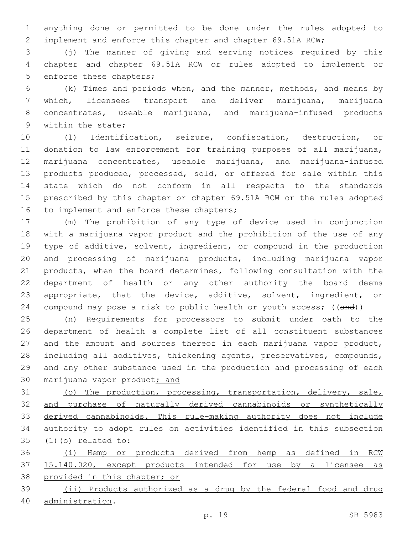anything done or permitted to be done under the rules adopted to implement and enforce this chapter and chapter 69.51A RCW;

 (j) The manner of giving and serving notices required by this chapter and chapter 69.51A RCW or rules adopted to implement or 5 enforce these chapters;

 (k) Times and periods when, and the manner, methods, and means by which, licensees transport and deliver marijuana, marijuana concentrates, useable marijuana, and marijuana-infused products 9 within the state;

 (l) Identification, seizure, confiscation, destruction, or donation to law enforcement for training purposes of all marijuana, marijuana concentrates, useable marijuana, and marijuana-infused 13 products produced, processed, sold, or offered for sale within this state which do not conform in all respects to the standards prescribed by this chapter or chapter 69.51A RCW or the rules adopted 16 to implement and enforce these chapters;

 (m) The prohibition of any type of device used in conjunction with a marijuana vapor product and the prohibition of the use of any type of additive, solvent, ingredient, or compound in the production and processing of marijuana products, including marijuana vapor products, when the board determines, following consultation with the department of health or any other authority the board deems appropriate, that the device, additive, solvent, ingredient, or 24 compound may pose a risk to public health or youth access; ((and))

 (n) Requirements for processors to submit under oath to the department of health a complete list of all constituent substances 27 and the amount and sources thereof in each marijuana vapor product, including all additives, thickening agents, preservatives, compounds, and any other substance used in the production and processing of each 30 marijuana vapor product; and

 (o) The production, processing, transportation, delivery, sale, and purchase of naturally derived cannabinoids or synthetically derived cannabinoids. This rule-making authority does not include authority to adopt rules on activities identified in this subsection 35 (1)(o) related to:

 (i) Hemp or products derived from hemp as defined in RCW 15.140.020, except products intended for use by a licensee as provided in this chapter; or

 (ii) Products authorized as a drug by the federal food and drug administration.40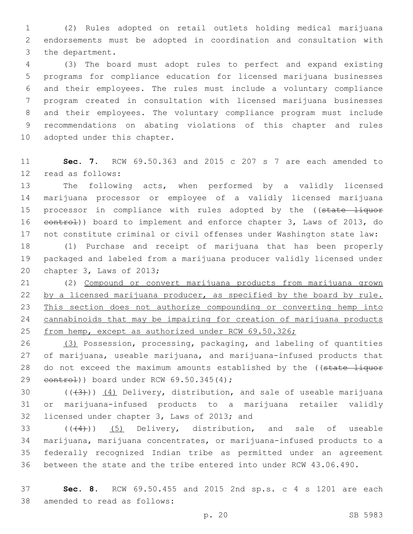(2) Rules adopted on retail outlets holding medical marijuana endorsements must be adopted in coordination and consultation with 3 the department.

 (3) The board must adopt rules to perfect and expand existing programs for compliance education for licensed marijuana businesses and their employees. The rules must include a voluntary compliance program created in consultation with licensed marijuana businesses and their employees. The voluntary compliance program must include recommendations on abating violations of this chapter and rules 10 adopted under this chapter.

 **Sec. 7.** RCW 69.50.363 and 2015 c 207 s 7 are each amended to 12 read as follows:

 The following acts, when performed by a validly licensed marijuana processor or employee of a validly licensed marijuana 15 processor in compliance with rules adopted by the ((state liquor 16 eontrol)) board to implement and enforce chapter 3, Laws of 2013, do not constitute criminal or civil offenses under Washington state law:

 (1) Purchase and receipt of marijuana that has been properly packaged and labeled from a marijuana producer validly licensed under 20 chapter 3, Laws of 2013;

 (2) Compound or convert marijuana products from marijuana grown 22 by a licensed marijuana producer, as specified by the board by rule. This section does not authorize compounding or converting hemp into cannabinoids that may be impairing for creation of marijuana products from hemp, except as authorized under RCW 69.50.326;

 (3) Possession, processing, packaging, and labeling of quantities of marijuana, useable marijuana, and marijuana-infused products that 28 do not exceed the maximum amounts established by the ((state liquor  $control)$ ) board under RCW 69.50.345(4);

30  $((+3+))$   $(4)$  Delivery, distribution, and sale of useable marijuana or marijuana-infused products to a marijuana retailer validly 32 licensed under chapter 3, Laws of 2013; and

 $(1,4)$  (( $(4)$ )) (5) Delivery, distribution, and sale of useable marijuana, marijuana concentrates, or marijuana-infused products to a federally recognized Indian tribe as permitted under an agreement between the state and the tribe entered into under RCW 43.06.490.

 **Sec. 8.** RCW 69.50.455 and 2015 2nd sp.s. c 4 s 1201 are each 38 amended to read as follows: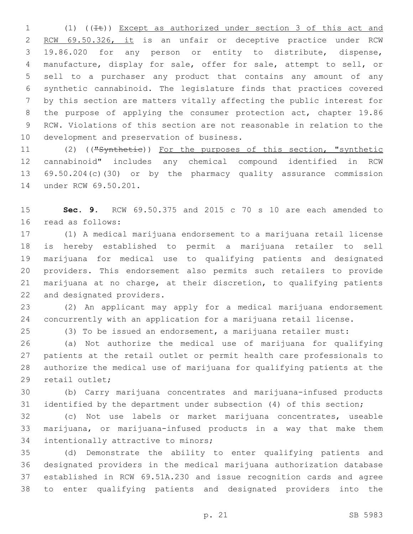1 (1) ((It)) Except as authorized under section 3 of this act and RCW 69.50.326, it is an unfair or deceptive practice under RCW 19.86.020 for any person or entity to distribute, dispense, manufacture, display for sale, offer for sale, attempt to sell, or sell to a purchaser any product that contains any amount of any synthetic cannabinoid. The legislature finds that practices covered by this section are matters vitally affecting the public interest for the purpose of applying the consumer protection act, chapter 19.86 RCW. Violations of this section are not reasonable in relation to the 10 development and preservation of business.

11 (2) (("Synthetie)) For the purposes of this section, "synthetic cannabinoid" includes any chemical compound identified in RCW 69.50.204(c)(30) or by the pharmacy quality assurance commission 14 under RCW 69.50.201.

 **Sec. 9.** RCW 69.50.375 and 2015 c 70 s 10 are each amended to 16 read as follows:

 (1) A medical marijuana endorsement to a marijuana retail license is hereby established to permit a marijuana retailer to sell marijuana for medical use to qualifying patients and designated providers. This endorsement also permits such retailers to provide marijuana at no charge, at their discretion, to qualifying patients 22 and designated providers.

 (2) An applicant may apply for a medical marijuana endorsement concurrently with an application for a marijuana retail license.

(3) To be issued an endorsement, a marijuana retailer must:

 (a) Not authorize the medical use of marijuana for qualifying patients at the retail outlet or permit health care professionals to authorize the medical use of marijuana for qualifying patients at the 29 retail outlet;

 (b) Carry marijuana concentrates and marijuana-infused products identified by the department under subsection (4) of this section;

 (c) Not use labels or market marijuana concentrates, useable marijuana, or marijuana-infused products in a way that make them 34 intentionally attractive to minors;

 (d) Demonstrate the ability to enter qualifying patients and designated providers in the medical marijuana authorization database established in RCW 69.51A.230 and issue recognition cards and agree to enter qualifying patients and designated providers into the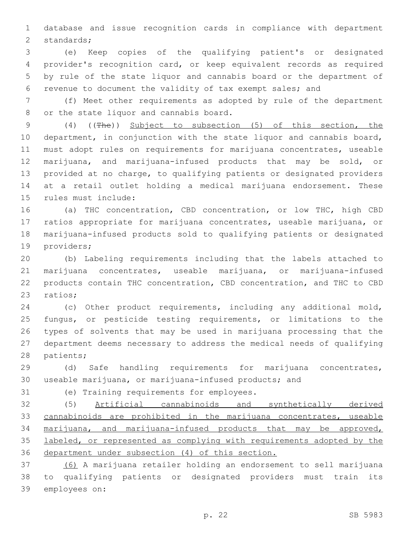database and issue recognition cards in compliance with department 2 standards;

 (e) Keep copies of the qualifying patient's or designated provider's recognition card, or keep equivalent records as required by rule of the state liquor and cannabis board or the department of revenue to document the validity of tax exempt sales; and

 (f) Meet other requirements as adopted by rule of the department 8 or the state liquor and cannabis board.

 (4) ((The)) Subject to subsection (5) of this section, the department, in conjunction with the state liquor and cannabis board, must adopt rules on requirements for marijuana concentrates, useable marijuana, and marijuana-infused products that may be sold, or provided at no charge, to qualifying patients or designated providers at a retail outlet holding a medical marijuana endorsement. These 15 rules must include:

 (a) THC concentration, CBD concentration, or low THC, high CBD ratios appropriate for marijuana concentrates, useable marijuana, or marijuana-infused products sold to qualifying patients or designated 19 providers;

 (b) Labeling requirements including that the labels attached to marijuana concentrates, useable marijuana, or marijuana-infused products contain THC concentration, CBD concentration, and THC to CBD 23 ratios;

 (c) Other product requirements, including any additional mold, fungus, or pesticide testing requirements, or limitations to the types of solvents that may be used in marijuana processing that the department deems necessary to address the medical needs of qualifying 28 patients;

 (d) Safe handling requirements for marijuana concentrates, useable marijuana, or marijuana-infused products; and

31 (e) Training requirements for employees.

 (5) Artificial cannabinoids and synthetically derived cannabinoids are prohibited in the marijuana concentrates, useable marijuana, and marijuana-infused products that may be approved, labeled, or represented as complying with requirements adopted by the department under subsection (4) of this section.

 (6) A marijuana retailer holding an endorsement to sell marijuana to qualifying patients or designated providers must train its 39 employees on: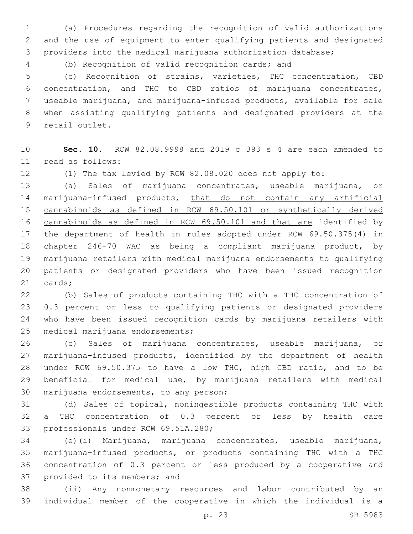(a) Procedures regarding the recognition of valid authorizations and the use of equipment to enter qualifying patients and designated providers into the medical marijuana authorization database;

(b) Recognition of valid recognition cards; and

 (c) Recognition of strains, varieties, THC concentration, CBD concentration, and THC to CBD ratios of marijuana concentrates, useable marijuana, and marijuana-infused products, available for sale when assisting qualifying patients and designated providers at the 9 retail outlet.

 **Sec. 10.** RCW 82.08.9998 and 2019 c 393 s 4 are each amended to read as follows:11

(1) The tax levied by RCW 82.08.020 does not apply to:

 (a) Sales of marijuana concentrates, useable marijuana, or 14 marijuana-infused products, that do not contain any artificial 15 cannabinoids as defined in RCW 69.50.101 or synthetically derived cannabinoids as defined in RCW 69.50.101 and that are identified by the department of health in rules adopted under RCW 69.50.375(4) in chapter 246-70 WAC as being a compliant marijuana product, by marijuana retailers with medical marijuana endorsements to qualifying patients or designated providers who have been issued recognition 21 cards;

 (b) Sales of products containing THC with a THC concentration of 0.3 percent or less to qualifying patients or designated providers who have been issued recognition cards by marijuana retailers with 25 medical marijuana endorsements;

 (c) Sales of marijuana concentrates, useable marijuana, or marijuana-infused products, identified by the department of health under RCW 69.50.375 to have a low THC, high CBD ratio, and to be beneficial for medical use, by marijuana retailers with medical 30 marijuana endorsements, to any person;

 (d) Sales of topical, noningestible products containing THC with a THC concentration of 0.3 percent or less by health care 33 professionals under RCW 69.51A.280;

 (e)(i) Marijuana, marijuana concentrates, useable marijuana, marijuana-infused products, or products containing THC with a THC concentration of 0.3 percent or less produced by a cooperative and 37 provided to its members; and

 (ii) Any nonmonetary resources and labor contributed by an individual member of the cooperative in which the individual is a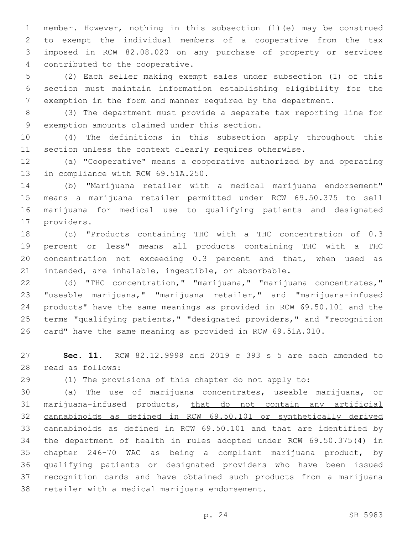member. However, nothing in this subsection (1)(e) may be construed to exempt the individual members of a cooperative from the tax imposed in RCW 82.08.020 on any purchase of property or services 4 contributed to the cooperative.

 (2) Each seller making exempt sales under subsection (1) of this section must maintain information establishing eligibility for the exemption in the form and manner required by the department.

 (3) The department must provide a separate tax reporting line for 9 exemption amounts claimed under this section.

 (4) The definitions in this subsection apply throughout this section unless the context clearly requires otherwise.

 (a) "Cooperative" means a cooperative authorized by and operating 13 in compliance with RCW 69.51A.250.

 (b) "Marijuana retailer with a medical marijuana endorsement" means a marijuana retailer permitted under RCW 69.50.375 to sell marijuana for medical use to qualifying patients and designated 17 providers.

 (c) "Products containing THC with a THC concentration of 0.3 percent or less" means all products containing THC with a THC concentration not exceeding 0.3 percent and that, when used as intended, are inhalable, ingestible, or absorbable.

 (d) "THC concentration," "marijuana," "marijuana concentrates," "useable marijuana," "marijuana retailer," and "marijuana-infused products" have the same meanings as provided in RCW 69.50.101 and the terms "qualifying patients," "designated providers," and "recognition card" have the same meaning as provided in RCW 69.51A.010.

 **Sec. 11.** RCW 82.12.9998 and 2019 c 393 s 5 are each amended to read as follows:28

(1) The provisions of this chapter do not apply to:

 (a) The use of marijuana concentrates, useable marijuana, or marijuana-infused products, that do not contain any artificial cannabinoids as defined in RCW 69.50.101 or synthetically derived cannabinoids as defined in RCW 69.50.101 and that are identified by the department of health in rules adopted under RCW 69.50.375(4) in chapter 246-70 WAC as being a compliant marijuana product, by qualifying patients or designated providers who have been issued recognition cards and have obtained such products from a marijuana 38 retailer with a medical marijuana endorsement.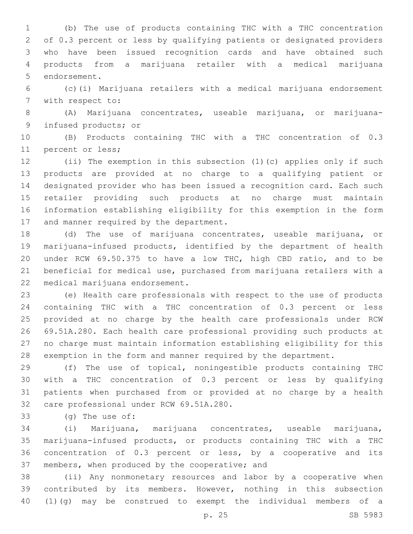(b) The use of products containing THC with a THC concentration of 0.3 percent or less by qualifying patients or designated providers who have been issued recognition cards and have obtained such products from a marijuana retailer with a medical marijuana 5 endorsement.

 (c)(i) Marijuana retailers with a medical marijuana endorsement 7 with respect to:

 (A) Marijuana concentrates, useable marijuana, or marijuana-9 infused products; or

 (B) Products containing THC with a THC concentration of 0.3 11 percent or less;

 (ii) The exemption in this subsection (1)(c) applies only if such products are provided at no charge to a qualifying patient or designated provider who has been issued a recognition card. Each such retailer providing such products at no charge must maintain information establishing eligibility for this exemption in the form 17 and manner required by the department.

 (d) The use of marijuana concentrates, useable marijuana, or marijuana-infused products, identified by the department of health under RCW 69.50.375 to have a low THC, high CBD ratio, and to be beneficial for medical use, purchased from marijuana retailers with a 22 medical marijuana endorsement.

 (e) Health care professionals with respect to the use of products containing THC with a THC concentration of 0.3 percent or less provided at no charge by the health care professionals under RCW 69.51A.280. Each health care professional providing such products at no charge must maintain information establishing eligibility for this exemption in the form and manner required by the department.

 (f) The use of topical, noningestible products containing THC with a THC concentration of 0.3 percent or less by qualifying patients when purchased from or provided at no charge by a health 32 care professional under RCW 69.51A.280.

33 (g) The use of:

 (i) Marijuana, marijuana concentrates, useable marijuana, marijuana-infused products, or products containing THC with a THC concentration of 0.3 percent or less, by a cooperative and its 37 members, when produced by the cooperative; and

 (ii) Any nonmonetary resources and labor by a cooperative when contributed by its members. However, nothing in this subsection (1)(g) may be construed to exempt the individual members of a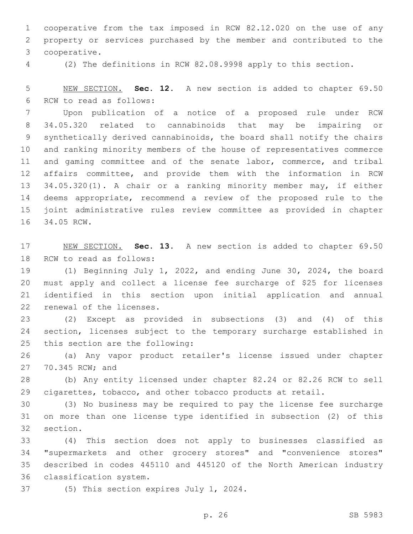cooperative from the tax imposed in RCW 82.12.020 on the use of any property or services purchased by the member and contributed to the cooperative.3

(2) The definitions in RCW 82.08.9998 apply to this section.

 NEW SECTION. **Sec. 12.** A new section is added to chapter 69.50 6 RCW to read as follows:

 Upon publication of a notice of a proposed rule under RCW 34.05.320 related to cannabinoids that may be impairing or synthetically derived cannabinoids, the board shall notify the chairs and ranking minority members of the house of representatives commerce and gaming committee and of the senate labor, commerce, and tribal affairs committee, and provide them with the information in RCW 34.05.320(1). A chair or a ranking minority member may, if either deems appropriate, recommend a review of the proposed rule to the joint administrative rules review committee as provided in chapter 16 34.05 RCW.

 NEW SECTION. **Sec. 13.** A new section is added to chapter 69.50 18 RCW to read as follows:

 (1) Beginning July 1, 2022, and ending June 30, 2024, the board must apply and collect a license fee surcharge of \$25 for licenses identified in this section upon initial application and annual 22 renewal of the licenses.

 (2) Except as provided in subsections (3) and (4) of this section, licenses subject to the temporary surcharge established in 25 this section are the following:

 (a) Any vapor product retailer's license issued under chapter 27 70.345 RCW; and

 (b) Any entity licensed under chapter 82.24 or 82.26 RCW to sell 29 cigarettes, tobacco, and other tobacco products at retail.

 (3) No business may be required to pay the license fee surcharge on more than one license type identified in subsection (2) of this 32 section.

 (4) This section does not apply to businesses classified as "supermarkets and other grocery stores" and "convenience stores" described in codes 445110 and 445120 of the North American industry 36 classification system.

37 (5) This section expires July 1, 2024.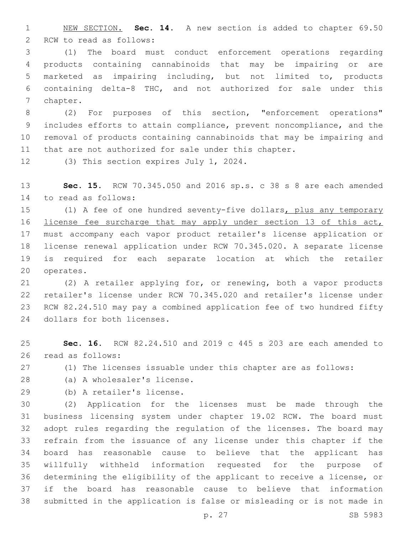NEW SECTION. **Sec. 14.** A new section is added to chapter 69.50 2 RCW to read as follows:

 (1) The board must conduct enforcement operations regarding products containing cannabinoids that may be impairing or are marketed as impairing including, but not limited to, products containing delta-8 THC, and not authorized for sale under this 7 chapter.

 (2) For purposes of this section, "enforcement operations" includes efforts to attain compliance, prevent noncompliance, and the removal of products containing cannabinoids that may be impairing and that are not authorized for sale under this chapter.

12 (3) This section expires July 1, 2024.

 **Sec. 15.** RCW 70.345.050 and 2016 sp.s. c 38 s 8 are each amended 14 to read as follows:

15 (1) A fee of one hundred seventy-five dollars, plus any temporary 16 license fee surcharge that may apply under section 13 of this act, must accompany each vapor product retailer's license application or license renewal application under RCW 70.345.020. A separate license is required for each separate location at which the retailer 20 operates.

 (2) A retailer applying for, or renewing, both a vapor products retailer's license under RCW 70.345.020 and retailer's license under RCW 82.24.510 may pay a combined application fee of two hundred fifty 24 dollars for both licenses.

 **Sec. 16.** RCW 82.24.510 and 2019 c 445 s 203 are each amended to 26 read as follows:

(1) The licenses issuable under this chapter are as follows:

28 (a) A wholesaler's license.

(b) A retailer's license.29

 (2) Application for the licenses must be made through the business licensing system under chapter 19.02 RCW. The board must adopt rules regarding the regulation of the licenses. The board may refrain from the issuance of any license under this chapter if the board has reasonable cause to believe that the applicant has willfully withheld information requested for the purpose of determining the eligibility of the applicant to receive a license, or if the board has reasonable cause to believe that information submitted in the application is false or misleading or is not made in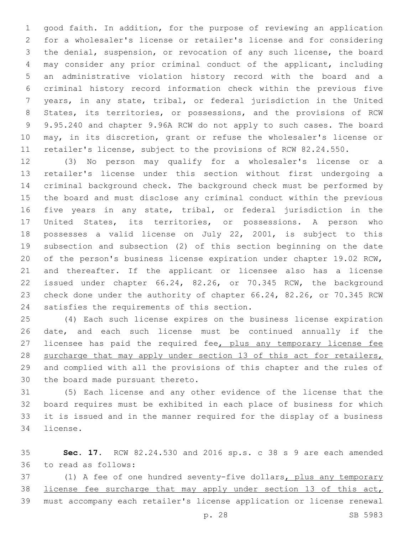good faith. In addition, for the purpose of reviewing an application for a wholesaler's license or retailer's license and for considering the denial, suspension, or revocation of any such license, the board may consider any prior criminal conduct of the applicant, including an administrative violation history record with the board and a criminal history record information check within the previous five years, in any state, tribal, or federal jurisdiction in the United States, its territories, or possessions, and the provisions of RCW 9.95.240 and chapter 9.96A RCW do not apply to such cases. The board may, in its discretion, grant or refuse the wholesaler's license or retailer's license, subject to the provisions of RCW 82.24.550.

 (3) No person may qualify for a wholesaler's license or a retailer's license under this section without first undergoing a criminal background check. The background check must be performed by the board and must disclose any criminal conduct within the previous five years in any state, tribal, or federal jurisdiction in the United States, its territories, or possessions. A person who possesses a valid license on July 22, 2001, is subject to this subsection and subsection (2) of this section beginning on the date of the person's business license expiration under chapter 19.02 RCW, and thereafter. If the applicant or licensee also has a license issued under chapter 66.24, 82.26, or 70.345 RCW, the background check done under the authority of chapter 66.24, 82.26, or 70.345 RCW 24 satisfies the requirements of this section.

 (4) Each such license expires on the business license expiration date, and each such license must be continued annually if the 27 licensee has paid the required fee, plus any temporary license fee 28 surcharge that may apply under section 13 of this act for retailers, and complied with all the provisions of this chapter and the rules of 30 the board made pursuant thereto.

 (5) Each license and any other evidence of the license that the board requires must be exhibited in each place of business for which it is issued and in the manner required for the display of a business 34 license.

 **Sec. 17.** RCW 82.24.530 and 2016 sp.s. c 38 s 9 are each amended to read as follows:36

37 (1) A fee of one hundred seventy-five dollars, plus any temporary 38 license fee surcharge that may apply under section 13 of this act, must accompany each retailer's license application or license renewal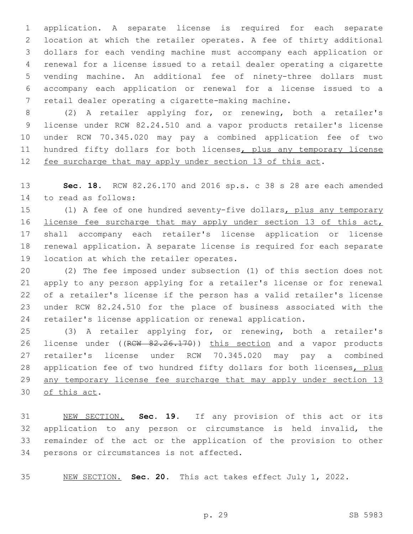application. A separate license is required for each separate location at which the retailer operates. A fee of thirty additional dollars for each vending machine must accompany each application or renewal for a license issued to a retail dealer operating a cigarette vending machine. An additional fee of ninety-three dollars must accompany each application or renewal for a license issued to a retail dealer operating a cigarette-making machine.

 (2) A retailer applying for, or renewing, both a retailer's license under RCW 82.24.510 and a vapor products retailer's license under RCW 70.345.020 may pay a combined application fee of two 11 hundred fifty dollars for both licenses, plus any temporary license 12 fee surcharge that may apply under section 13 of this act.

 **Sec. 18.** RCW 82.26.170 and 2016 sp.s. c 38 s 28 are each amended 14 to read as follows:

15 (1) A fee of one hundred seventy-five dollars, plus any temporary 16 license fee surcharge that may apply under section 13 of this act, shall accompany each retailer's license application or license renewal application. A separate license is required for each separate 19 location at which the retailer operates.

 (2) The fee imposed under subsection (1) of this section does not apply to any person applying for a retailer's license or for renewal of a retailer's license if the person has a valid retailer's license under RCW 82.24.510 for the place of business associated with the retailer's license application or renewal application.

 (3) A retailer applying for, or renewing, both a retailer's 26 license under ((RCW 82.26.170)) this section and a vapor products retailer's license under RCW 70.345.020 may pay a combined 28 application fee of two hundred fifty dollars for both licenses, plus 29 any temporary license fee surcharge that may apply under section 13 30 of this act.

 NEW SECTION. **Sec. 19.** If any provision of this act or its application to any person or circumstance is held invalid, the remainder of the act or the application of the provision to other persons or circumstances is not affected.

NEW SECTION. **Sec. 20.** This act takes effect July 1, 2022.